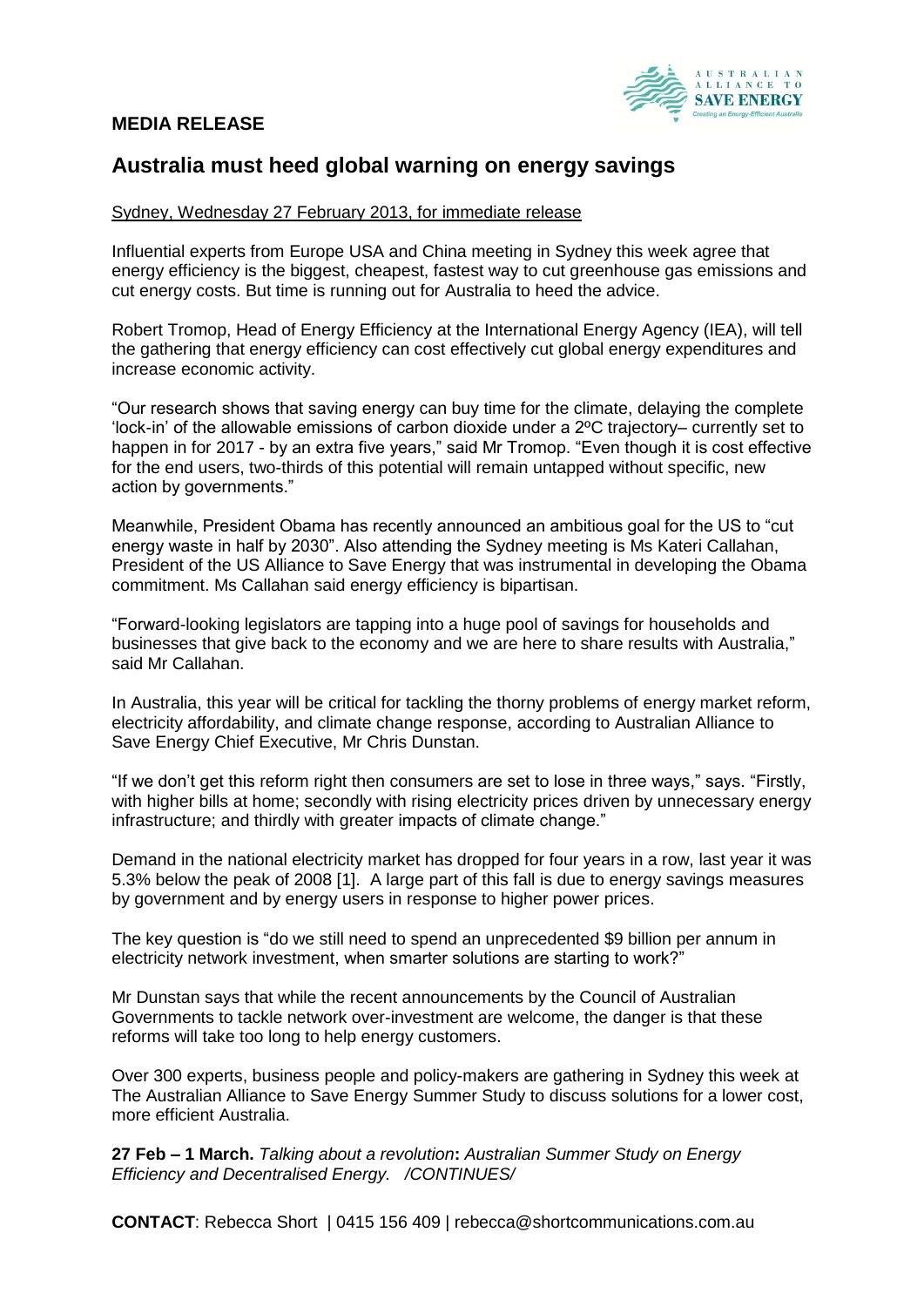## **MEDIA RELEASE**



# **Australia must heed global warning on energy savings**

### Sydney, Wednesday 27 February 2013, for immediate release

Influential experts from Europe USA and China meeting in Sydney this week agree that energy efficiency is the biggest, cheapest, fastest way to cut greenhouse gas emissions and cut energy costs. But time is running out for Australia to heed the advice.

Robert Tromop, Head of Energy Efficiency at the International Energy Agency (IEA), will tell the gathering that energy efficiency can cost effectively cut global energy expenditures and increase economic activity.

"Our research shows that saving energy can buy time for the climate, delaying the complete 'lock-in' of the allowable emissions of carbon dioxide under a 2ºC trajectory– currently set to happen in for 2017 - by an extra five years," said Mr Tromop. "Even though it is cost effective for the end users, two-thirds of this potential will remain untapped without specific, new action by governments."

Meanwhile, President Obama has recently announced an ambitious goal for the US to "cut energy waste in half by 2030". Also attending the Sydney meeting is Ms Kateri Callahan, President of the US Alliance to Save Energy that was instrumental in developing the Obama commitment. Ms Callahan said energy efficiency is bipartisan.

"Forward-looking legislators are tapping into a huge pool of savings for households and businesses that give back to the economy and we are here to share results with Australia," said Mr Callahan.

In Australia, this year will be critical for tackling the thorny problems of energy market reform, electricity affordability, and climate change response, according to Australian Alliance to Save Energy Chief Executive, Mr Chris Dunstan.

"If we don't get this reform right then consumers are set to lose in three ways," says. "Firstly, with higher bills at home; secondly with rising electricity prices driven by unnecessary energy infrastructure; and thirdly with greater impacts of climate change."

Demand in the national electricity market has dropped for four years in a row, last year it was 5.3% below the peak of 2008 [1]. A large part of this fall is due to energy savings measures by government and by energy users in response to higher power prices.

The key question is "do we still need to spend an unprecedented \$9 billion per annum in electricity network investment, when smarter solutions are starting to work?"

Mr Dunstan says that while the recent announcements by the Council of Australian Governments to tackle network over-investment are welcome, the danger is that these reforms will take too long to help energy customers.

Over 300 experts, business people and policy-makers are gathering in Sydney this week at The Australian Alliance to Save Energy Summer Study to discuss solutions for a lower cost, more efficient Australia.

**27 Feb – 1 March.** *Talking about a revolution***:** *Australian Summer Study on Energy Efficiency and Decentralised Energy. /CONTINUES/*

**CONTACT**: Rebecca Short | 0415 156 409 | rebecca@shortcommunications.com.au